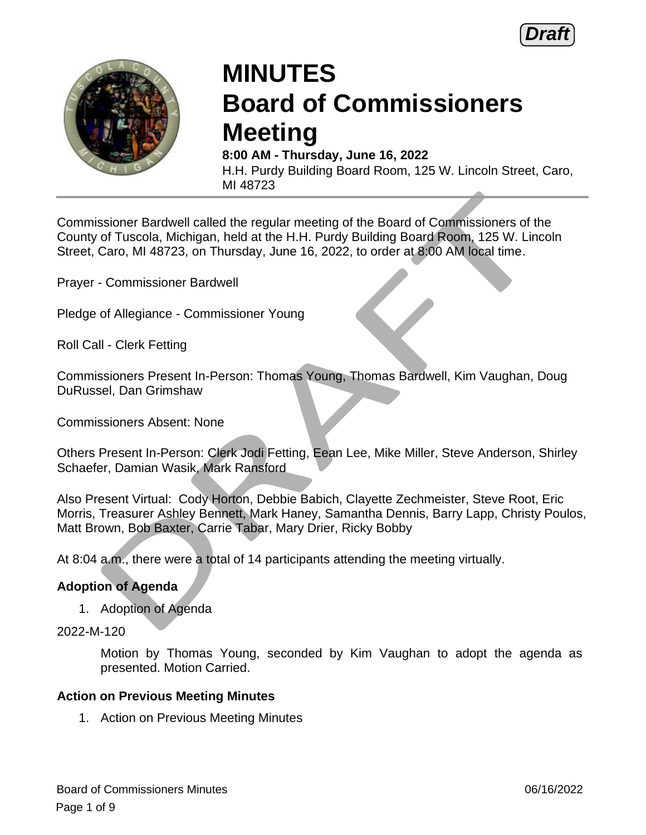



# **MINUTES Board of Commissioners Meeting**

**8:00 AM - Thursday, June 16, 2022** H.H. Purdy Building Board Room, 125 W. Lincoln Street, Caro, MI 48723

Commissioner Bardwell called the regular meeting of the Board of Commissioners of the County of Tuscola, Michigan, held at the H.H. Purdy Building Board Room, 125 W. Lincoln Street, Caro, MI 48723, on Thursday, June 16, 2022, to order at 8:00 AM local time.

Prayer - Commissioner Bardwell

Pledge of Allegiance - Commissioner Young

Roll Call - Clerk Fetting

Commissioners Present In-Person: Thomas Young, Thomas Bardwell, Kim Vaughan, Doug DuRussel, Dan Grimshaw

Commissioners Absent: None

Others Present In-Person: Clerk Jodi Fetting, Eean Lee, Mike Miller, Steve Anderson, Shirley Schaefer, Damian Wasik, Mark Ransford

Also Present Virtual: Cody Horton, Debbie Babich, Clayette Zechmeister, Steve Root, Eric Morris, Treasurer Ashley Bennett, Mark Haney, Samantha Dennis, Barry Lapp, Christy Poulos, Matt Brown, Bob Baxter, Carrie Tabar, Mary Drier, Ricky Bobby

At 8:04 a.m., there were a total of 14 participants attending the meeting virtually.

#### **Adoption of Agenda**

1. Adoption of Agenda

2022-M-120

Motion by Thomas Young, seconded by Kim Vaughan to adopt the agenda as presented. Motion Carried.

#### **Action on Previous Meeting Minutes**

1. Action on Previous Meeting Minutes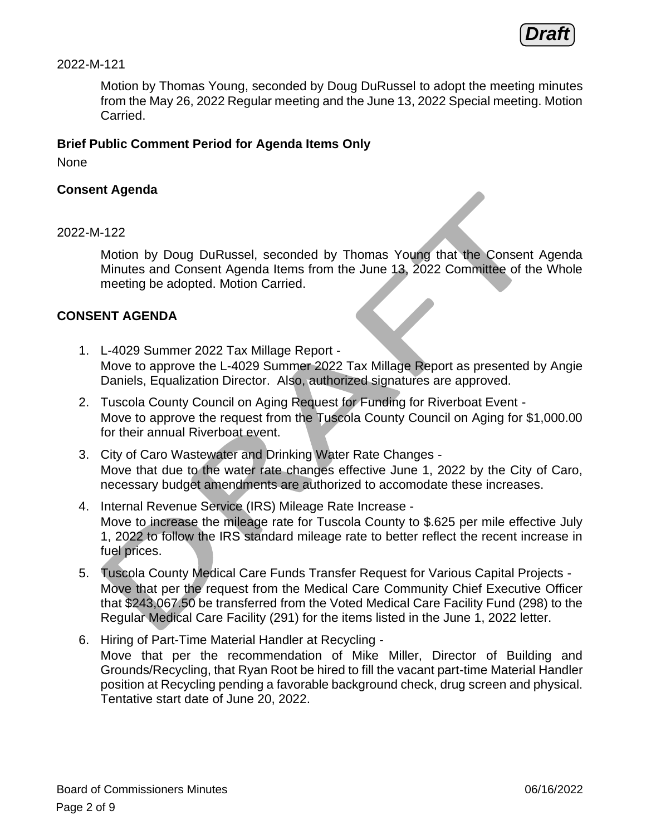**Draft**

#### 2022-M-121

Motion by Thomas Young, seconded by Doug DuRussel to adopt the meeting minutes from the May 26, 2022 Regular meeting and the June 13, 2022 Special meeting. Motion Carried.

#### **Brief Public Comment Period for Agenda Items Only**

None

#### **Consent Agenda**

#### 2022-M-122

Motion by Doug DuRussel, seconded by Thomas Young that the Consent Agenda Minutes and Consent Agenda Items from the June 13, 2022 Committee of the Whole meeting be adopted. Motion Carried.

#### **CONSENT AGENDA**

- 1. L-4029 Summer 2022 Tax Millage Report Move to approve the L-4029 Summer 2022 Tax Millage Report as presented by Angie Daniels, Equalization Director. Also, authorized signatures are approved.
- 2. Tuscola County Council on Aging Request for Funding for Riverboat Event Move to approve the request from the Tuscola County Council on Aging for \$1,000.00 for their annual Riverboat event.
- 3. City of Caro Wastewater and Drinking Water Rate Changes Move that due to the water rate changes effective June 1, 2022 by the City of Caro, necessary budget amendments are authorized to accomodate these increases.
- 4. Internal Revenue Service (IRS) Mileage Rate Increase Move to increase the mileage rate for Tuscola County to \$.625 per mile effective July 1, 2022 to follow the IRS standard mileage rate to better reflect the recent increase in fuel prices.
- 5. Tuscola County Medical Care Funds Transfer Request for Various Capital Projects Move that per the request from the Medical Care Community Chief Executive Officer that \$243,067.50 be transferred from the Voted Medical Care Facility Fund (298) to the Regular Medical Care Facility (291) for the items listed in the June 1, 2022 letter.
- 6. Hiring of Part-Time Material Handler at Recycling Move that per the recommendation of Mike Miller, Director of Building and Grounds/Recycling, that Ryan Root be hired to fill the vacant part-time Material Handler position at Recycling pending a favorable background check, drug screen and physical. Tentative start date of June 20, 2022.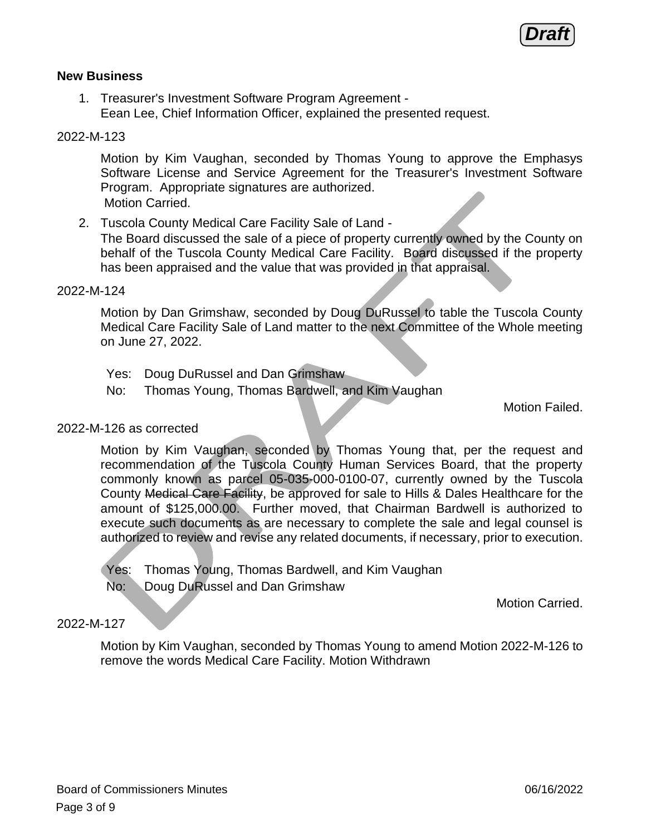

#### **New Business**

1. Treasurer's Investment Software Program Agreement - Eean Lee, Chief Information Officer, explained the presented request.

#### 2022-M-123

Motion by Kim Vaughan, seconded by Thomas Young to approve the Emphasys Software License and Service Agreement for the Treasurer's Investment Software Program. Appropriate signatures are authorized. Motion Carried.

2. Tuscola County Medical Care Facility Sale of Land - The Board discussed the sale of a piece of property currently owned by the County on behalf of the Tuscola County Medical Care Facility. Board discussed if the property has been appraised and the value that was provided in that appraisal.

#### 2022-M-124

Motion by Dan Grimshaw, seconded by Doug DuRussel to table the Tuscola County Medical Care Facility Sale of Land matter to the next Committee of the Whole meeting on June 27, 2022.

- Yes: Doug DuRussel and Dan Grimshaw
- No: Thomas Young, Thomas Bardwell, and Kim Vaughan

Motion Failed.

#### 2022-M-126 as corrected

Motion by Kim Vaughan, seconded by Thomas Young that, per the request and recommendation of the Tuscola County Human Services Board, that the property commonly known as parcel 05-035-000-0100-07, currently owned by the Tuscola County Medical Care Facility, be approved for sale to Hills & Dales Healthcare for the amount of \$125,000.00. Further moved, that Chairman Bardwell is authorized to execute such documents as are necessary to complete the sale and legal counsel is authorized to review and revise any related documents, if necessary, prior to execution.

- Yes: Thomas Young, Thomas Bardwell, and Kim Vaughan
- No: Doug DuRussel and Dan Grimshaw

Motion Carried.

#### 2022-M-127

Motion by Kim Vaughan, seconded by Thomas Young to amend Motion 2022-M-126 to remove the words Medical Care Facility. Motion Withdrawn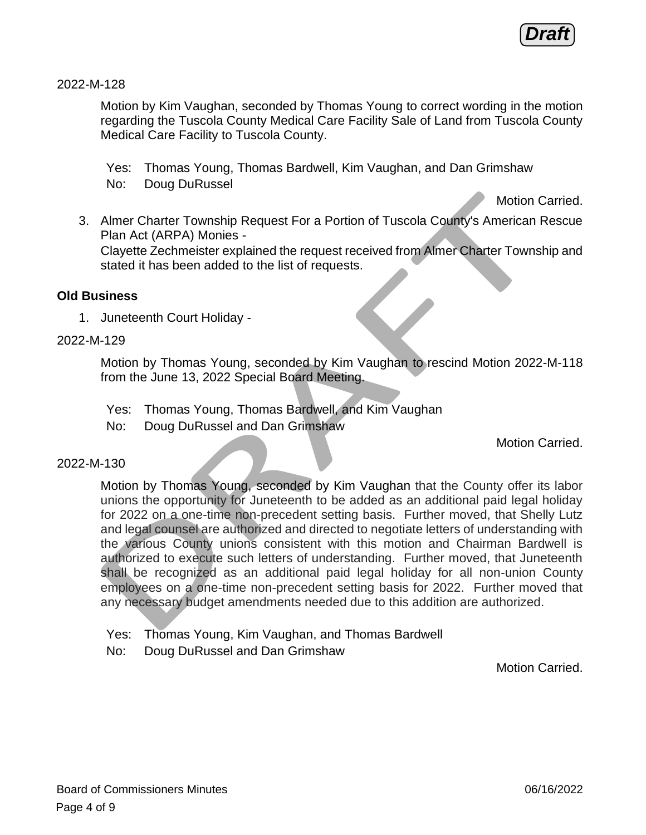**Draft**

2022-M-128

Motion by Kim Vaughan, seconded by Thomas Young to correct wording in the motion regarding the Tuscola County Medical Care Facility Sale of Land from Tuscola County Medical Care Facility to Tuscola County.

Yes: Thomas Young, Thomas Bardwell, Kim Vaughan, and Dan Grimshaw No: Doug DuRussel

Motion Carried.

3. Almer Charter Township Request For a Portion of Tuscola County's American Rescue Plan Act (ARPA) Monies - Clayette Zechmeister explained the request received from Almer Charter Township and stated it has been added to the list of requests.

#### **Old Business**

1. Juneteenth Court Holiday -

#### 2022-M-129

Motion by Thomas Young, seconded by Kim Vaughan to rescind Motion 2022-M-118 from the June 13, 2022 Special Board Meeting.

- Yes: Thomas Young, Thomas Bardwell, and Kim Vaughan
- No: Doug DuRussel and Dan Grimshaw

Motion Carried.

#### 2022-M-130

Motion by Thomas Young, seconded by Kim Vaughan that the County offer its labor unions the opportunity for Juneteenth to be added as an additional paid legal holiday for 2022 on a one-time non-precedent setting basis. Further moved, that Shelly Lutz and legal counsel are authorized and directed to negotiate letters of understanding with the various County unions consistent with this motion and Chairman Bardwell is authorized to execute such letters of understanding. Further moved, that Juneteenth shall be recognized as an additional paid legal holiday for all non-union County employees on a one-time non-precedent setting basis for 2022. Further moved that any necessary budget amendments needed due to this addition are authorized.

- Yes: Thomas Young, Kim Vaughan, and Thomas Bardwell
- No: Doug DuRussel and Dan Grimshaw

Motion Carried.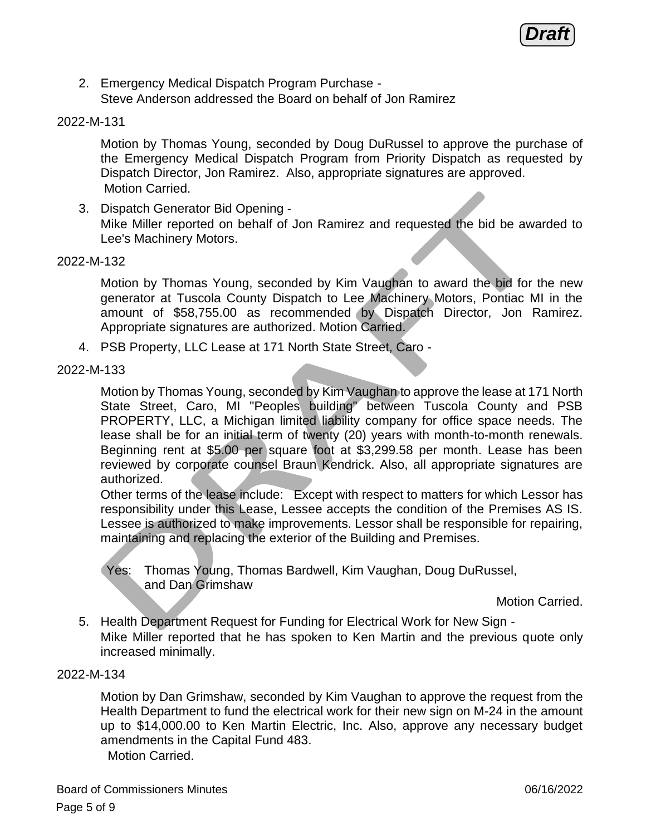**Draft**

2. Emergency Medical Dispatch Program Purchase - Steve Anderson addressed the Board on behalf of Jon Ramirez

#### 2022-M-131

Motion by Thomas Young, seconded by Doug DuRussel to approve the purchase of the Emergency Medical Dispatch Program from Priority Dispatch as requested by Dispatch Director, Jon Ramirez. Also, appropriate signatures are approved. Motion Carried.

3. Dispatch Generator Bid Opening - Mike Miller reported on behalf of Jon Ramirez and requested the bid be awarded to Lee's Machinery Motors.

#### 2022-M-132

Motion by Thomas Young, seconded by Kim Vaughan to award the bid for the new generator at Tuscola County Dispatch to Lee Machinery Motors, Pontiac MI in the amount of \$58,755.00 as recommended by Dispatch Director, Jon Ramirez. Appropriate signatures are authorized. Motion Carried.

4. PSB Property, LLC Lease at 171 North State Street, Caro -

#### 2022-M-133

Motion by Thomas Young, seconded by Kim Vaughan to approve the lease at 171 North State Street, Caro, MI "Peoples building" between Tuscola County and PSB PROPERTY, LLC, a Michigan limited liability company for office space needs. The lease shall be for an initial term of twenty (20) years with month-to-month renewals. Beginning rent at \$5.00 per square foot at \$3,299.58 per month. Lease has been reviewed by corporate counsel Braun Kendrick. Also, all appropriate signatures are authorized.

Other terms of the lease include: Except with respect to matters for which Lessor has responsibility under this Lease, Lessee accepts the condition of the Premises AS IS. Lessee is authorized to make improvements. Lessor shall be responsible for repairing, maintaining and replacing the exterior of the Building and Premises.

Yes: Thomas Young, Thomas Bardwell, Kim Vaughan, Doug DuRussel, and Dan Grimshaw

Motion Carried.

5. Health Department Request for Funding for Electrical Work for New Sign - Mike Miller reported that he has spoken to Ken Martin and the previous quote only increased minimally.

#### 2022-M-134

Motion by Dan Grimshaw, seconded by Kim Vaughan to approve the request from the Health Department to fund the electrical work for their new sign on M-24 in the amount up to \$14,000.00 to Ken Martin Electric, Inc. Also, approve any necessary budget amendments in the Capital Fund 483.

Motion Carried.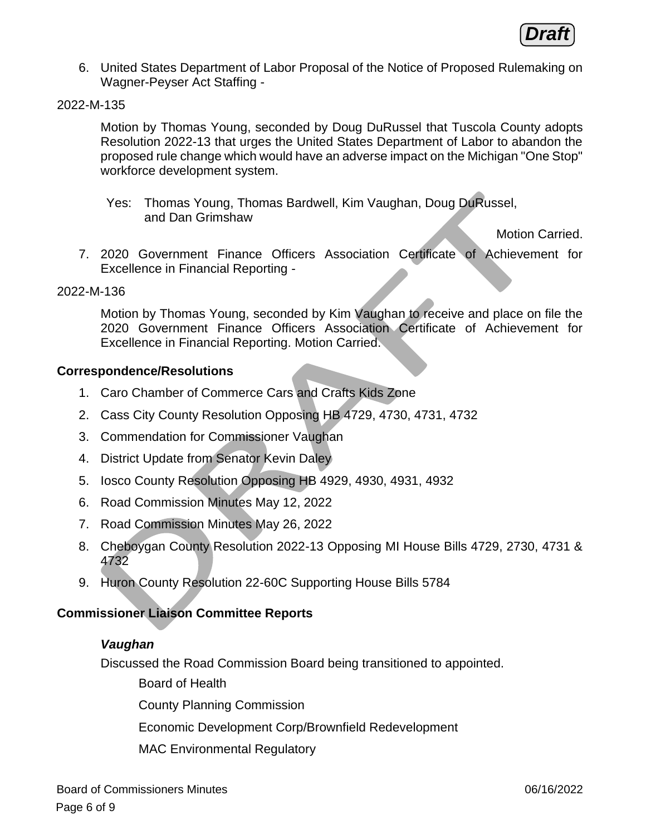

6. United States Department of Labor Proposal of the Notice of Proposed Rulemaking on Wagner-Peyser Act Staffing -

#### 2022-M-135

Motion by Thomas Young, seconded by Doug DuRussel that Tuscola County adopts Resolution 2022-13 that urges the United States Department of Labor to abandon the proposed rule change which would have an adverse impact on the Michigan "One Stop" workforce development system.

Yes: Thomas Young, Thomas Bardwell, Kim Vaughan, Doug DuRussel, and Dan Grimshaw

Motion Carried.

7. 2020 Government Finance Officers Association Certificate of Achievement for Excellence in Financial Reporting -

#### 2022-M-136

Motion by Thomas Young, seconded by Kim Vaughan to receive and place on file the 2020 Government Finance Officers Association Certificate of Achievement for Excellence in Financial Reporting. Motion Carried.

#### **Correspondence/Resolutions**

- 1. Caro Chamber of Commerce Cars and Crafts Kids Zone
- 2. Cass City County Resolution Opposing HB 4729, 4730, 4731, 4732
- 3. Commendation for Commissioner Vaughan
- 4. District Update from Senator Kevin Daley
- 5. Iosco County Resolution Opposing HB 4929, 4930, 4931, 4932
- 6. Road Commission Minutes May 12, 2022
- 7. Road Commission Minutes May 26, 2022
- 8. Cheboygan County Resolution 2022-13 Opposing MI House Bills 4729, 2730, 4731 & 4732
- 9. Huron County Resolution 22-60C Supporting House Bills 5784

#### **Commissioner Liaison Committee Reports**

#### *Vaughan*

Discussed the Road Commission Board being transitioned to appointed.

Board of Health

County Planning Commission

Economic Development Corp/Brownfield Redevelopment

MAC Environmental Regulatory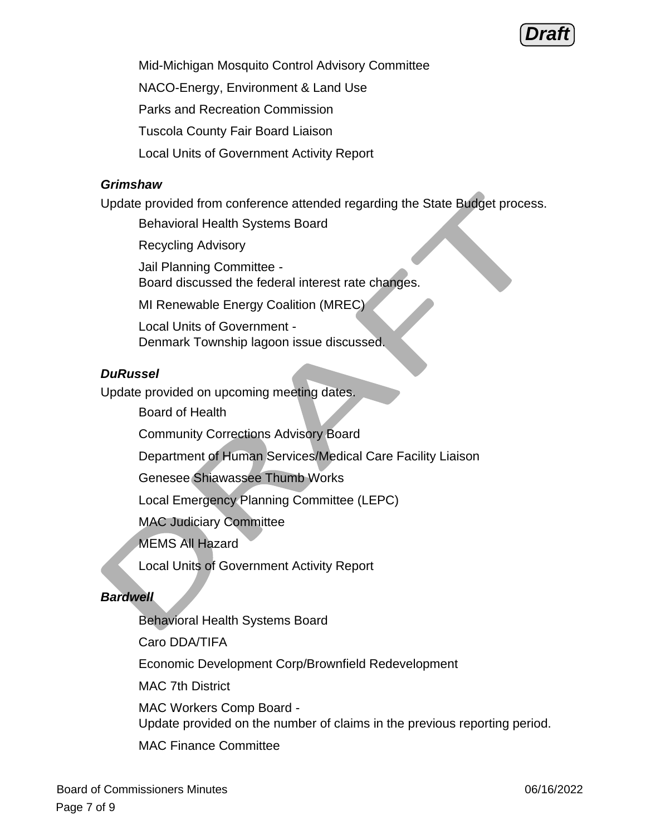## **Draft**

Mid-Michigan Mosquito Control Advisory Committee

NACO-Energy, Environment & Land Use

Parks and Recreation Commission

Tuscola County Fair Board Liaison

Local Units of Government Activity Report

## *Grimshaw*

Update provided from conference attended regarding the State Budget process.

Behavioral Health Systems Board

Recycling Advisory

Jail Planning Committee - Board discussed the federal interest rate changes.

MI Renewable Energy Coalition (MREC)

Local Units of Government - Denmark Township lagoon issue discussed.

## *DuRussel*

Update provided on upcoming meeting dates.

Board of Health

Community Corrections Advisory Board

Department of Human Services/Medical Care Facility Liaison

Genesee Shiawassee Thumb Works

Local Emergency Planning Committee (LEPC)

MAC Judiciary Committee

MEMS All Hazard

Local Units of Government Activity Report

## *Bardwell*

Behavioral Health Systems Board

Caro DDA/TIFA

Economic Development Corp/Brownfield Redevelopment

MAC 7th District

MAC Workers Comp Board - Update provided on the number of claims in the previous reporting period.

MAC Finance Committee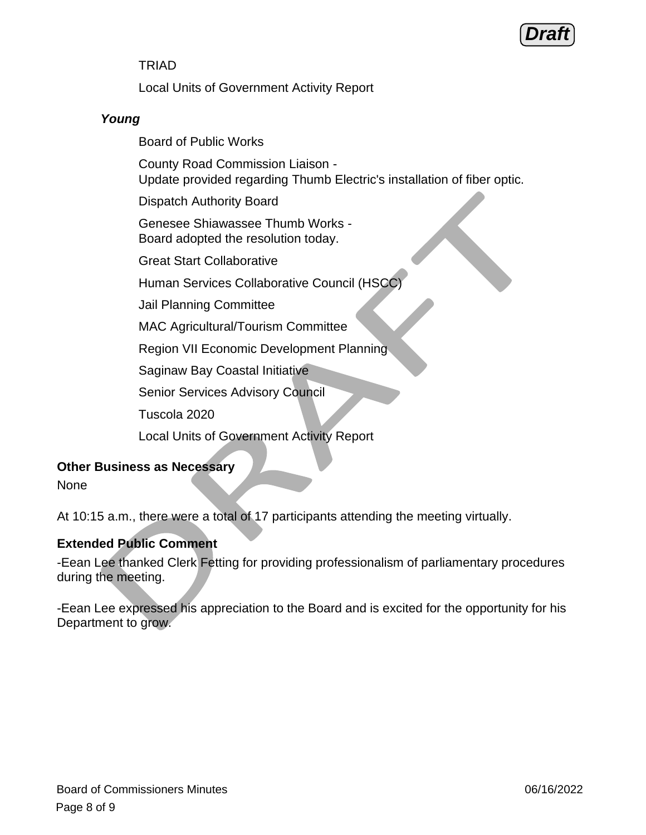## **Draft**

## TRIAD

Local Units of Government Activity Report

## *Young*

Board of Public Works

County Road Commission Liaison - Update provided regarding Thumb Electric's installation of fiber optic.

Dispatch Authority Board

Genesee Shiawassee Thumb Works - Board adopted the resolution today.

Great Start Collaborative

Human Services Collaborative Council (HSCC)

Jail Planning Committee

MAC Agricultural/Tourism Committee

Region VII Economic Development Planning

Saginaw Bay Coastal Initiative

Senior Services Advisory Council

Tuscola 2020

Local Units of Government Activity Report

## **Other Business as Necessary**

None

At 10:15 a.m., there were a total of 17 participants attending the meeting virtually.

## **Extended Public Comment**

-Eean Lee thanked Clerk Fetting for providing professionalism of parliamentary procedures during the meeting.

-Eean Lee expressed his appreciation to the Board and is excited for the opportunity for his Department to grow.